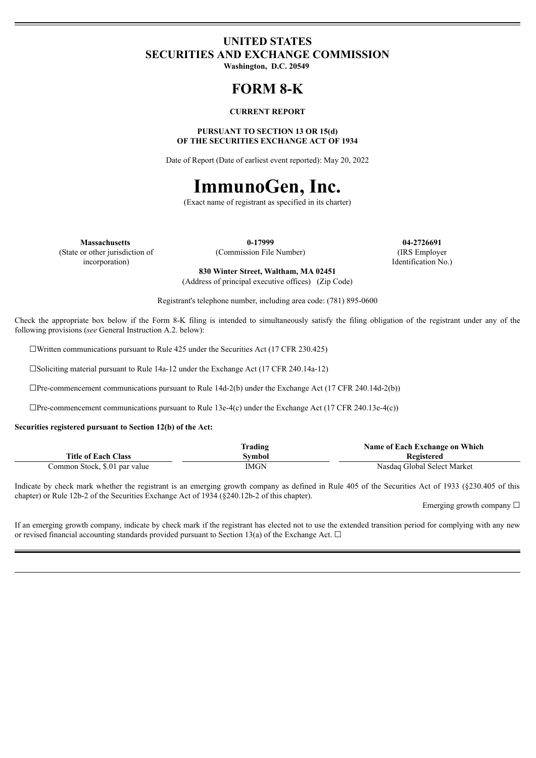### **UNITED STATES SECURITIES AND EXCHANGE COMMISSION**

**Washington, D.C. 20549**

## **FORM 8-K**

#### **CURRENT REPORT**

#### **PURSUANT TO SECTION 13 OR 15(d) OF THE SECURITIES EXCHANGE ACT OF 1934**

Date of Report (Date of earliest event reported): May 20, 2022

# **ImmunoGen, Inc.**

(Exact name of registrant as specified in its charter)

(State or other jurisdiction of

incorporation)

(Commission File Number) (IRS Employer

**Massachusetts 0-17999 04-2726691** Identification No.)

> **830 Winter Street, Waltham, MA 02451** (Address of principal executive offices) (Zip Code)

Registrant's telephone number, including area code: (781) 895-0600

Check the appropriate box below if the Form 8-K filing is intended to simultaneously satisfy the filing obligation of the registrant under any of the following provisions (*see* General Instruction A.2. below):

☐Written communications pursuant to Rule 425 under the Securities Act (17 CFR 230.425)

☐Soliciting material pursuant to Rule 14a-12 under the Exchange Act (17 CFR 240.14a-12)

☐Pre-commencement communications pursuant to Rule 14d-2(b) under the Exchange Act (17 CFR 240.14d-2(b))

☐Pre-commencement communications pursuant to Rule 13e-4(c) under the Exchange Act (17 CFR 240.13e-4(c))

**Securities registered pursuant to Section 12(b) of the Act:**

|                               | <b>Trading</b> | Name of Each Exchange on Which |
|-------------------------------|----------------|--------------------------------|
| <b>Title of Each Class</b>    | Svmbol         | Registered                     |
| Common Stock, \$.01 par value | IMGN           | Nasdag Global Select Market    |

Indicate by check mark whether the registrant is an emerging growth company as defined in Rule 405 of the Securities Act of 1933 (§230.405 of this chapter) or Rule 12b-2 of the Securities Exchange Act of 1934 (§240.12b-2 of this chapter).

Emerging growth company ☐

If an emerging growth company, indicate by check mark if the registrant has elected not to use the extended transition period for complying with any new or revised financial accounting standards provided pursuant to Section 13(a) of the Exchange Act.  $\Box$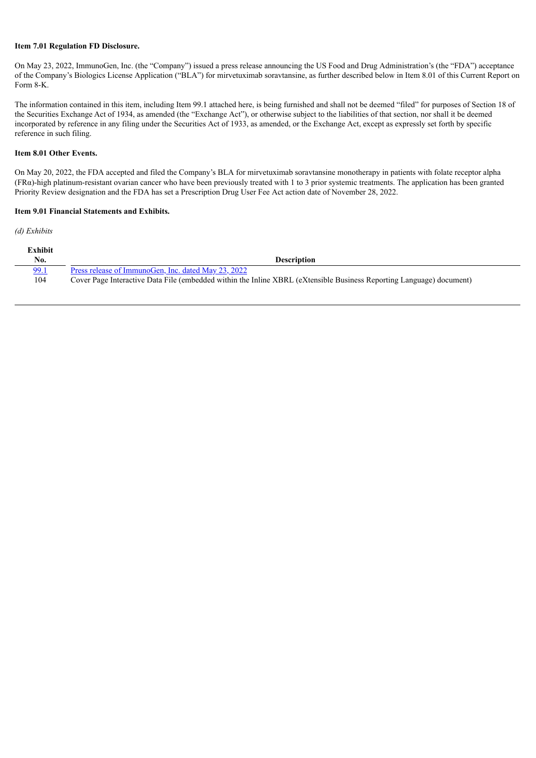#### **Item 7.01 Regulation FD Disclosure.**

On May 23, 2022, ImmunoGen, Inc. (the "Company") issued a press release announcing the US Food and Drug Administration's (the "FDA") acceptance of the Company's Biologics License Application ("BLA") for mirvetuximab soravtansine, as further described below in Item 8.01 of this Current Report on Form 8-K.

The information contained in this item, including Item 99.1 attached here, is being furnished and shall not be deemed "filed" for purposes of Section 18 of the Securities Exchange Act of 1934, as amended (the "Exchange Act"), or otherwise subject to the liabilities of that section, nor shall it be deemed incorporated by reference in any filing under the Securities Act of 1933, as amended, or the Exchange Act, except as expressly set forth by specific reference in such filing.

#### **Item 8.01 Other Events.**

On May 20, 2022, the FDA accepted and filed the Company's BLA for mirvetuximab soravtansine monotherapy in patients with folate receptor alpha  $(FR\alpha)$ -high platinum-resistant ovarian cancer who have been previously treated with 1 to 3 prior systemic treatments. The application has been granted Priority Review designation and the FDA has set a Prescription Drug User Fee Act action date of November 28, 2022.

#### **Item 9.01 Financial Statements and Exhibits.**

*(d) Exhibits*

| Exhibit<br>No. | <b>Description</b>                                                                                                   |
|----------------|----------------------------------------------------------------------------------------------------------------------|
| 99.1           | Press release of ImmunoGen, Inc. dated May 23, 2022                                                                  |
| 104            | Cover Page Interactive Data File (embedded within the Inline XBRL (eXtensible Business Reporting Language) document) |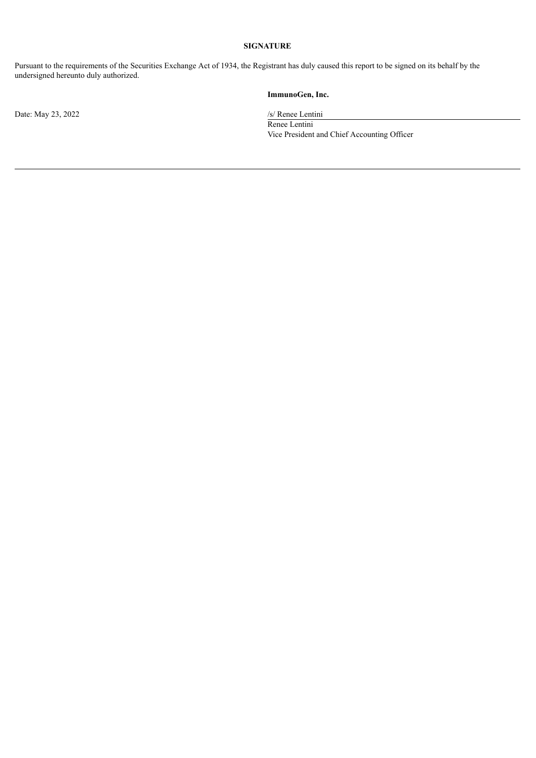#### **SIGNATURE**

Pursuant to the requirements of the Securities Exchange Act of 1934, the Registrant has duly caused this report to be signed on its behalf by the undersigned hereunto duly authorized.

#### **ImmunoGen, Inc.**

Renee Lentini Vice President and Chief Accounting Officer

Date: May 23, 2022 /s/ Renee Lentini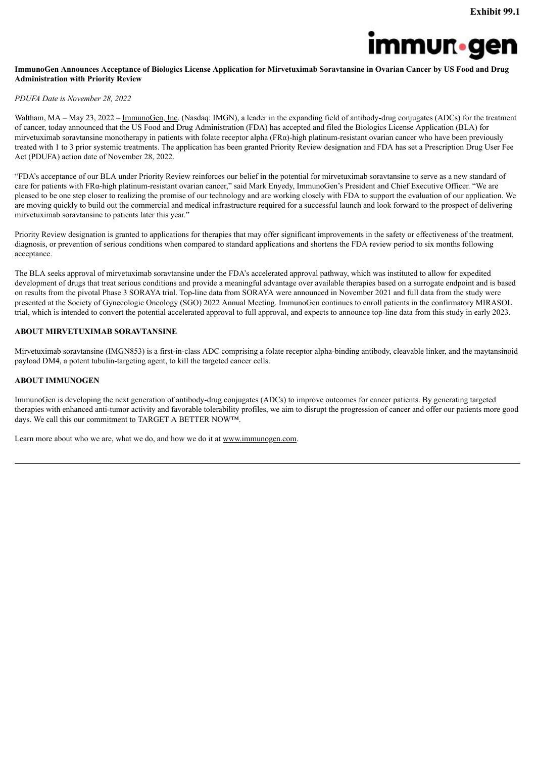

#### <span id="page-3-0"></span>ImmunoGen Announces Acceptance of Biologics License Application for Mirvetuximab Soravtansine in Ovarian Cancer by US Food and Drug **Administration with Priority Review**

#### *PDUFA Date is November 28, 2022*

Waltham, MA – May 23, 2022 – ImmunoGen, Inc. (Nasdaq: IMGN), a leader in the expanding field of antibody-drug conjugates (ADCs) for the treatment of cancer, today announced that the US Food and Drug Administration (FDA) has accepted and filed the Biologics License Application (BLA) for mirvetuximab soravtansine monotherapy in patients with folate receptor alpha ( $FR\alpha$ )-high platinum-resistant ovarian cancer who have been previously treated with 1 to 3 prior systemic treatments. The application has been granted Priority Review designation and FDA has set a Prescription Drug User Fee Act (PDUFA) action date of November 28, 2022.

"FDA's acceptance of our BLA under Priority Review reinforces our belief in the potential for mirvetuximab soravtansine to serve as a new standard of care for patients with FRα-high platinum-resistant ovarian cancer," said Mark Enyedy, ImmunoGen's President and Chief Executive Officer. "We are pleased to be one step closer to realizing the promise of our technology and are working closely with FDA to support the evaluation of our application. We are moving quickly to build out the commercial and medical infrastructure required for a successful launch and look forward to the prospect of delivering mirvetuximab soravtansine to patients later this year."

Priority Review designation is granted to applications for therapies that may offer significant improvements in the safety or effectiveness of the treatment, diagnosis, or prevention of serious conditions when compared to standard applications and shortens the FDA review period to six months following acceptance.

The BLA seeks approval of mirvetuximab soravtansine under the FDA's accelerated approval pathway, which was instituted to allow for expedited development of drugs that treat serious conditions and provide a meaningful advantage over available therapies based on a surrogate endpoint and is based on results from the pivotal Phase 3 SORAYA trial. Top-line data from SORAYA were announced in November 2021 and full data from the study were presented at the Society of Gynecologic Oncology (SGO) 2022 Annual Meeting. ImmunoGen continues to enroll patients in the confirmatory MIRASOL trial, which is intended to convert the potential accelerated approval to full approval, and expects to announce top-line data from this study in early 2023.

#### **ABOUT MIRVETUXIMAB SORAVTANSINE**

Mirvetuximab soravtansine (IMGN853) is a first-in-class ADC comprising a folate receptor alpha-binding antibody, cleavable linker, and the maytansinoid payload DM4, a potent tubulin-targeting agent, to kill the targeted cancer cells.

#### **ABOUT IMMUNOGEN**

ImmunoGen is developing the next generation of antibody-drug conjugates (ADCs) to improve outcomes for cancer patients. By generating targeted therapies with enhanced anti-tumor activity and favorable tolerability profiles, we aim to disrupt the progression of cancer and offer our patients more good days. We call this our commitment to TARGET A BETTER NOW™.

Learn more about who we are, what we do, and how we do it at www.immunogen.com.